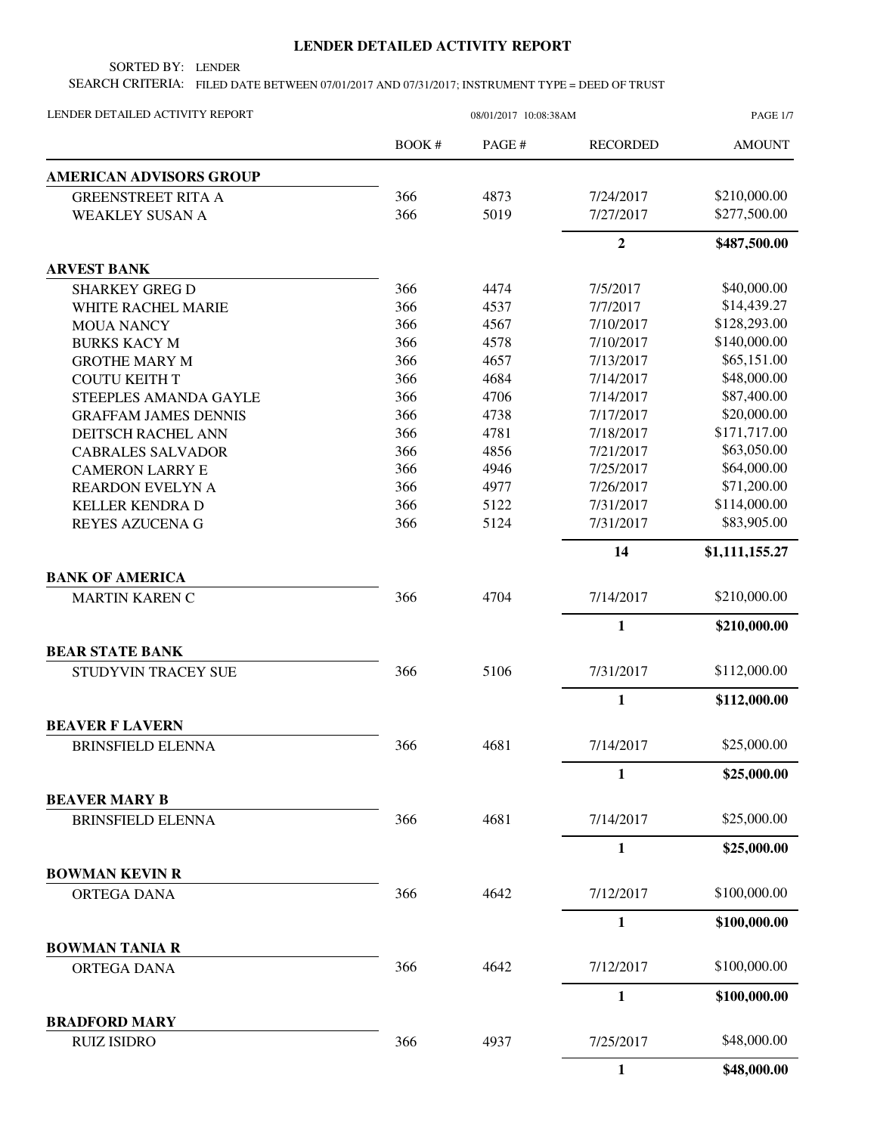## **LENDER DETAILED ACTIVITY REPORT**

SORTED BY: LENDER

SEARCH CRITERIA: FILED DATE BETWEEN 07/01/2017 AND 07/31/2017; INSTRUMENT TYPE = DEED OF TRUST

| LENDER DETAILED ACTIVITY REPORT      |        | 08/01/2017 10:08:38AM |                 | <b>PAGE 1/7</b> |
|--------------------------------------|--------|-----------------------|-----------------|-----------------|
|                                      | BOOK # | PAGE #                | <b>RECORDED</b> | <b>AMOUNT</b>   |
| <b>AMERICAN ADVISORS GROUP</b>       |        |                       |                 |                 |
| <b>GREENSTREET RITA A</b>            | 366    | 4873                  | 7/24/2017       | \$210,000.00    |
| <b>WEAKLEY SUSAN A</b>               | 366    | 5019                  | 7/27/2017       | \$277,500.00    |
|                                      |        |                       | $\overline{2}$  | \$487,500.00    |
| <b>ARVEST BANK</b>                   |        |                       |                 |                 |
| <b>SHARKEY GREG D</b>                | 366    | 4474                  | 7/5/2017        | \$40,000.00     |
| WHITE RACHEL MARIE                   | 366    | 4537                  | 7/7/2017        | \$14,439.27     |
| <b>MOUA NANCY</b>                    | 366    | 4567                  | 7/10/2017       | \$128,293.00    |
| <b>BURKS KACY M</b>                  | 366    | 4578                  | 7/10/2017       | \$140,000.00    |
| <b>GROTHE MARY M</b>                 | 366    | 4657                  | 7/13/2017       | \$65,151.00     |
| <b>COUTU KEITH T</b>                 | 366    | 4684                  | 7/14/2017       | \$48,000.00     |
| STEEPLES AMANDA GAYLE                | 366    | 4706                  | 7/14/2017       | \$87,400.00     |
| <b>GRAFFAM JAMES DENNIS</b>          | 366    | 4738                  | 7/17/2017       | \$20,000.00     |
| DEITSCH RACHEL ANN                   | 366    | 4781                  | 7/18/2017       | \$171,717.00    |
| <b>CABRALES SALVADOR</b>             | 366    | 4856                  | 7/21/2017       | \$63,050.00     |
| <b>CAMERON LARRY E</b>               | 366    | 4946                  | 7/25/2017       | \$64,000.00     |
| <b>REARDON EVELYN A</b>              | 366    | 4977                  | 7/26/2017       | \$71,200.00     |
| <b>KELLER KENDRA D</b>               | 366    | 5122                  | 7/31/2017       | \$114,000.00    |
| REYES AZUCENA G                      | 366    | 5124                  | 7/31/2017       | \$83,905.00     |
|                                      |        |                       | 14              | \$1,111,155.27  |
| <b>BANK OF AMERICA</b>               |        |                       |                 |                 |
| <b>MARTIN KAREN C</b>                | 366    | 4704                  | 7/14/2017       | \$210,000.00    |
|                                      |        |                       | $\mathbf{1}$    | \$210,000.00    |
| <b>BEAR STATE BANK</b>               |        |                       |                 |                 |
| STUDYVIN TRACEY SUE                  | 366    | 5106                  | 7/31/2017       | \$112,000.00    |
|                                      |        |                       | $\mathbf{1}$    | \$112,000.00    |
| <b>BEAVER F LAVERN</b>               |        |                       |                 |                 |
| <b>BRINSFIELD ELENNA</b>             | 366    | 4681                  | 7/14/2017       | \$25,000.00     |
|                                      |        |                       | $\mathbf{1}$    | \$25,000.00     |
| <b>BEAVER MARY B</b>                 |        |                       |                 |                 |
| <b>BRINSFIELD ELENNA</b>             | 366    | 4681                  | 7/14/2017       | \$25,000.00     |
|                                      |        |                       | $\mathbf{1}$    | \$25,000.00     |
| <b>BOWMAN KEVIN R</b><br>ORTEGA DANA | 366    | 4642                  | 7/12/2017       | \$100,000.00    |
|                                      |        |                       |                 |                 |
|                                      |        |                       | $\mathbf{1}$    | \$100,000.00    |
| <b>BOWMAN TANIA R</b><br>ORTEGA DANA | 366    | 4642                  | 7/12/2017       | \$100,000.00    |
|                                      |        |                       | $\mathbf{1}$    | \$100,000.00    |
| <b>BRADFORD MARY</b>                 |        |                       |                 |                 |
| <b>RUIZ ISIDRO</b>                   | 366    | 4937                  | 7/25/2017       | \$48,000.00     |
|                                      |        |                       | 1               | \$48,000.00     |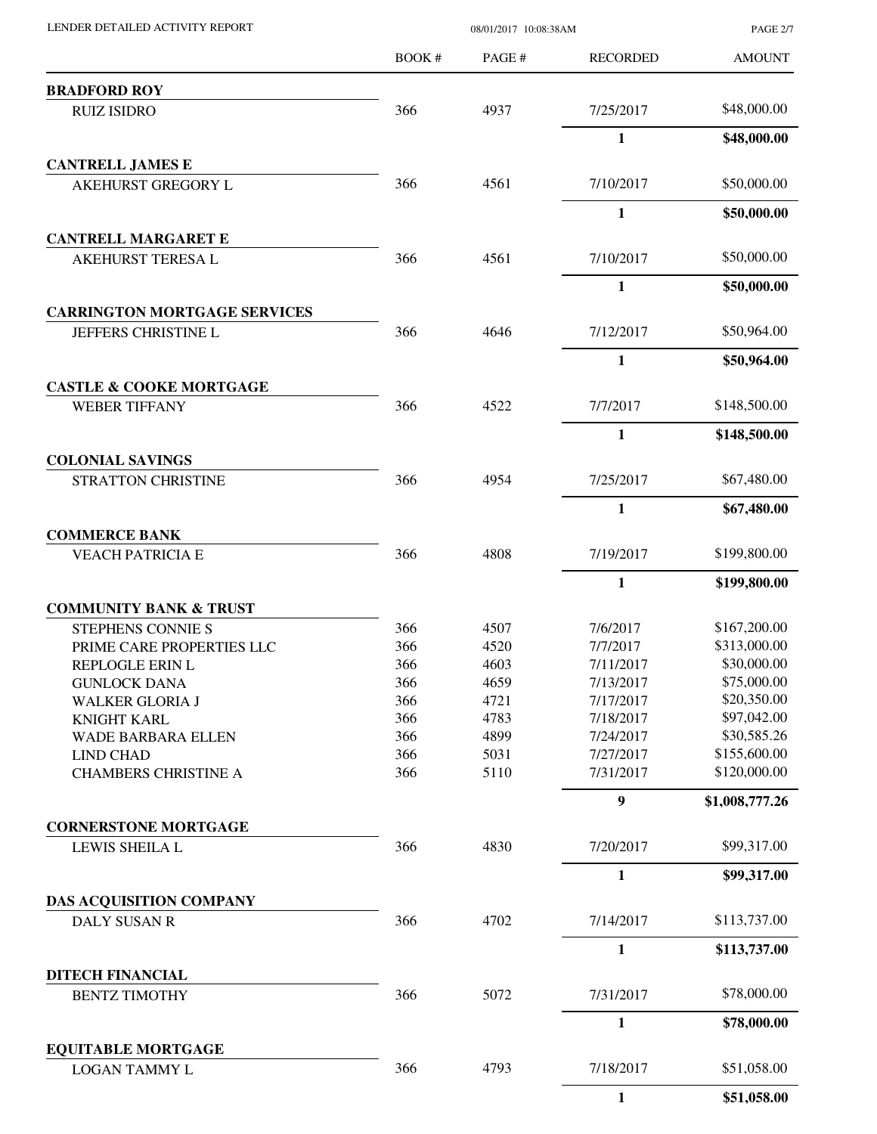| LENDER DETAILED ACTIVITY REPORT                   |              | 08/01/2017 10:08:38AM |                  | <b>PAGE 2/7</b> |
|---------------------------------------------------|--------------|-----------------------|------------------|-----------------|
|                                                   | <b>BOOK#</b> | PAGE #                | <b>RECORDED</b>  | <b>AMOUNT</b>   |
| <b>BRADFORD ROY</b>                               |              |                       |                  |                 |
| <b>RUIZ ISIDRO</b>                                | 366          | 4937                  | 7/25/2017        | \$48,000.00     |
|                                                   |              |                       | $\mathbf{1}$     | \$48,000.00     |
| <b>CANTRELL JAMES E</b>                           |              |                       |                  |                 |
| <b>AKEHURST GREGORY L</b>                         | 366          | 4561                  | 7/10/2017        | \$50,000.00     |
|                                                   |              |                       | $\mathbf{1}$     | \$50,000.00     |
| <b>CANTRELL MARGARET E</b>                        | 366          | 4561                  | 7/10/2017        | \$50,000.00     |
| AKEHURST TERESA L                                 |              |                       | $\mathbf{1}$     |                 |
| <b>CARRINGTON MORTGAGE SERVICES</b>               |              |                       |                  | \$50,000.00     |
| JEFFERS CHRISTINE L                               | 366          | 4646                  | 7/12/2017        | \$50,964.00     |
|                                                   |              |                       | $\mathbf{1}$     | \$50,964.00     |
| <b>CASTLE &amp; COOKE MORTGAGE</b>                |              |                       |                  |                 |
| <b>WEBER TIFFANY</b>                              | 366          | 4522                  | 7/7/2017         | \$148,500.00    |
|                                                   |              |                       | $\mathbf{1}$     | \$148,500.00    |
| <b>COLONIAL SAVINGS</b>                           | 366          |                       |                  | \$67,480.00     |
| STRATTON CHRISTINE                                |              | 4954                  | 7/25/2017        |                 |
| <b>COMMERCE BANK</b>                              |              |                       | $\mathbf{1}$     | \$67,480.00     |
| <b>VEACH PATRICIA E</b>                           | 366          | 4808                  | 7/19/2017        | \$199,800.00    |
|                                                   |              |                       | $\mathbf{1}$     | \$199,800.00    |
| <b>COMMUNITY BANK &amp; TRUST</b>                 |              |                       |                  |                 |
| STEPHENS CONNIE S                                 | 366          | 4507                  | 7/6/2017         | \$167,200.00    |
| PRIME CARE PROPERTIES LLC                         | 366          | 4520                  | 7/7/2017         | \$313,000.00    |
| <b>REPLOGLE ERIN L</b>                            | 366          | 4603                  | 7/11/2017        | \$30,000.00     |
| <b>GUNLOCK DANA</b>                               | 366          | 4659                  | 7/13/2017        | \$75,000.00     |
| <b>WALKER GLORIA J</b>                            | 366          | 4721                  | 7/17/2017        | \$20,350.00     |
| <b>KNIGHT KARL</b>                                | 366          | 4783                  | 7/18/2017        | \$97,042.00     |
| WADE BARBARA ELLEN                                | 366          | 4899                  | 7/24/2017        | \$30,585.26     |
| <b>LIND CHAD</b>                                  | 366          | 5031                  | 7/27/2017        | \$155,600.00    |
| <b>CHAMBERS CHRISTINE A</b>                       | 366          | 5110                  | 7/31/2017        | \$120,000.00    |
|                                                   |              |                       | $\boldsymbol{9}$ | \$1,008,777.26  |
| <b>CORNERSTONE MORTGAGE</b><br>LEWIS SHEILA L     | 366          | 4830                  | 7/20/2017        | \$99,317.00     |
|                                                   |              |                       | $\mathbf{1}$     | \$99,317.00     |
| DAS ACQUISITION COMPANY                           |              |                       |                  |                 |
| DALY SUSAN R                                      | 366          | 4702                  | 7/14/2017        | \$113,737.00    |
|                                                   |              |                       | $\mathbf{1}$     | \$113,737.00    |
| <b>DITECH FINANCIAL</b>                           |              |                       |                  |                 |
| <b>BENTZ TIMOTHY</b>                              | 366          | 5072                  | 7/31/2017        | \$78,000.00     |
|                                                   |              |                       | $\mathbf{1}$     | \$78,000.00     |
| <b>EQUITABLE MORTGAGE</b><br><b>LOGAN TAMMY L</b> | 366          | 4793                  | 7/18/2017        | \$51,058.00     |
|                                                   |              |                       | $\mathbf{1}$     | \$51,058.00     |
|                                                   |              |                       |                  |                 |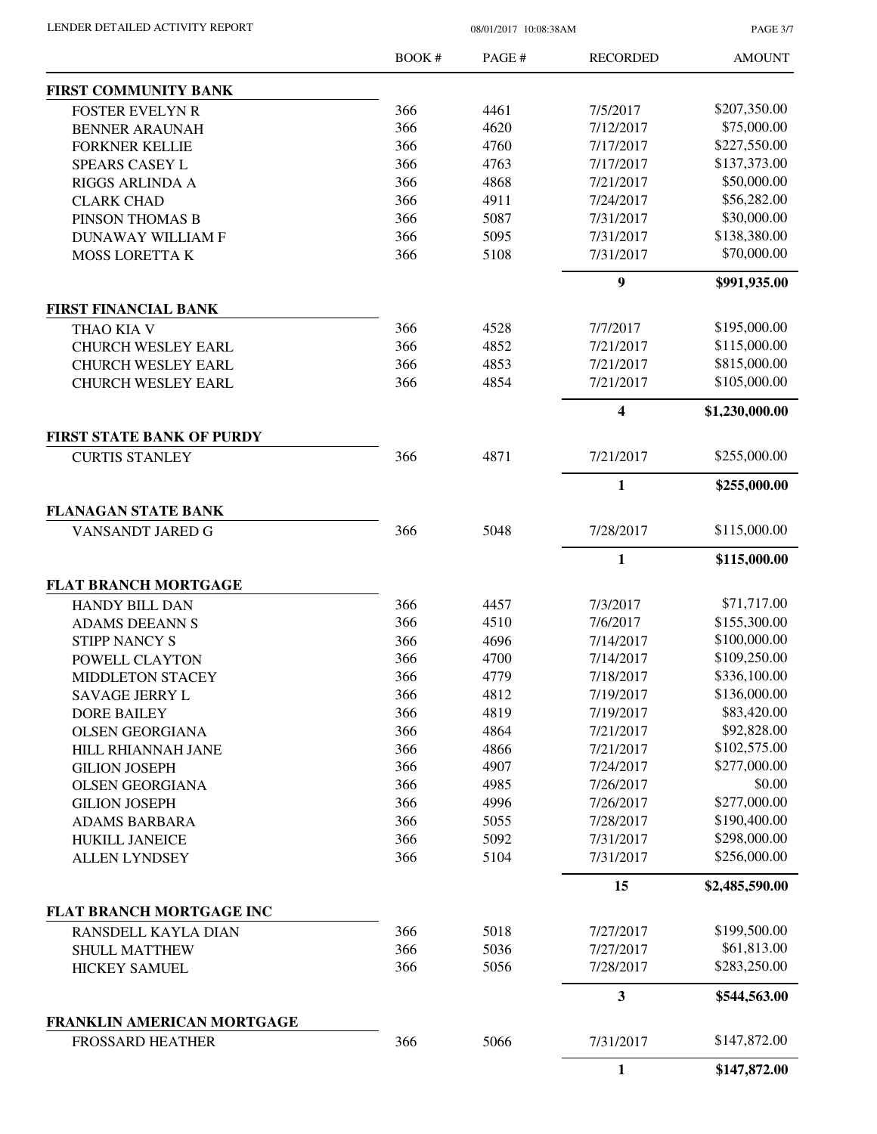| LENDER DETAILED ACTIVITY REPORT |  |
|---------------------------------|--|
|                                 |  |

 $08/01/2017$  10:08:38AM

PAGE 3/7

|                                                           | BOOK# | PAGE # | <b>RECORDED</b>         | <b>AMOUNT</b>  |
|-----------------------------------------------------------|-------|--------|-------------------------|----------------|
| FIRST COMMUNITY BANK                                      |       |        |                         |                |
| <b>FOSTER EVELYN R</b>                                    | 366   | 4461   | 7/5/2017                | \$207,350.00   |
| <b>BENNER ARAUNAH</b>                                     | 366   | 4620   | 7/12/2017               | \$75,000.00    |
| <b>FORKNER KELLIE</b>                                     | 366   | 4760   | 7/17/2017               | \$227,550.00   |
| SPEARS CASEY L                                            | 366   | 4763   | 7/17/2017               | \$137,373.00   |
| RIGGS ARLINDA A                                           | 366   | 4868   | 7/21/2017               | \$50,000.00    |
| <b>CLARK CHAD</b>                                         | 366   | 4911   | 7/24/2017               | \$56,282.00    |
| PINSON THOMAS B                                           | 366   | 5087   | 7/31/2017               | \$30,000.00    |
| <b>DUNAWAY WILLIAM F</b>                                  | 366   | 5095   | 7/31/2017               | \$138,380.00   |
| <b>MOSS LORETTA K</b>                                     | 366   | 5108   | 7/31/2017               | \$70,000.00    |
|                                                           |       |        | $\boldsymbol{9}$        | \$991,935.00   |
| <b>FIRST FINANCIAL BANK</b>                               |       |        |                         |                |
| THAO KIA V                                                | 366   | 4528   | 7/7/2017                | \$195,000.00   |
| <b>CHURCH WESLEY EARL</b>                                 | 366   | 4852   | 7/21/2017               | \$115,000.00   |
| <b>CHURCH WESLEY EARL</b>                                 | 366   | 4853   | 7/21/2017               | \$815,000.00   |
| <b>CHURCH WESLEY EARL</b>                                 | 366   | 4854   | 7/21/2017               | \$105,000.00   |
|                                                           |       |        | $\overline{\mathbf{4}}$ | \$1,230,000.00 |
| <b>FIRST STATE BANK OF PURDY</b><br><b>CURTIS STANLEY</b> | 366   | 4871   | 7/21/2017               | \$255,000.00   |
|                                                           |       |        |                         |                |
|                                                           |       |        | 1                       | \$255,000.00   |
| <b>FLANAGAN STATE BANK</b><br>VANSANDT JARED G            | 366   | 5048   | 7/28/2017               | \$115,000.00   |
|                                                           |       |        | $\mathbf{1}$            | \$115,000.00   |
| <b>FLAT BRANCH MORTGAGE</b>                               |       |        |                         |                |
| <b>HANDY BILL DAN</b>                                     | 366   | 4457   | 7/3/2017                | \$71,717.00    |
| <b>ADAMS DEEANN S</b>                                     | 366   | 4510   | 7/6/2017                | \$155,300.00   |
| <b>STIPP NANCY S</b>                                      | 366   | 4696   | 7/14/2017               | \$100,000.00   |
| POWELL CLAYTON                                            | 366   | 4700   | 7/14/2017               | \$109,250.00   |
| <b>MIDDLETON STACEY</b>                                   | 366   | 4779   | 7/18/2017               | \$336,100.00   |
| SAVAGE JERRY L                                            | 366   | 4812   | 7/19/2017               | \$136,000.00   |
| <b>DORE BAILEY</b>                                        | 366   | 4819   | 7/19/2017               | \$83,420.00    |
| <b>OLSEN GEORGIANA</b>                                    | 366   | 4864   | 7/21/2017               | \$92,828.00    |
|                                                           | 366   | 4866   | 7/21/2017               | \$102,575.00   |
| HILL RHIANNAH JANE                                        | 366   | 4907   | 7/24/2017               | \$277,000.00   |
| <b>GILION JOSEPH</b>                                      |       |        |                         | \$0.00         |
| <b>OLSEN GEORGIANA</b>                                    | 366   | 4985   | 7/26/2017               |                |
| <b>GILION JOSEPH</b>                                      | 366   | 4996   | 7/26/2017               | \$277,000.00   |
| <b>ADAMS BARBARA</b>                                      | 366   | 5055   | 7/28/2017               | \$190,400.00   |
| <b>HUKILL JANEICE</b>                                     | 366   | 5092   | 7/31/2017               | \$298,000.00   |
| <b>ALLEN LYNDSEY</b>                                      | 366   | 5104   | 7/31/2017               | \$256,000.00   |
|                                                           |       |        | 15                      | \$2,485,590.00 |
| FLAT BRANCH MORTGAGE INC                                  |       |        |                         |                |
| RANSDELL KAYLA DIAN                                       | 366   | 5018   | 7/27/2017               | \$199,500.00   |
| <b>SHULL MATTHEW</b>                                      | 366   | 5036   | 7/27/2017               | \$61,813.00    |
| <b>HICKEY SAMUEL</b>                                      | 366   | 5056   | 7/28/2017               | \$283,250.00   |
|                                                           |       |        | $\overline{\mathbf{3}}$ | \$544,563.00   |
| FRANKLIN AMERICAN MORTGAGE<br><b>FROSSARD HEATHER</b>     | 366   | 5066   | 7/31/2017               | \$147,872.00   |
|                                                           |       |        |                         | \$147,872.00   |
|                                                           |       |        | $\mathbf{1}$            |                |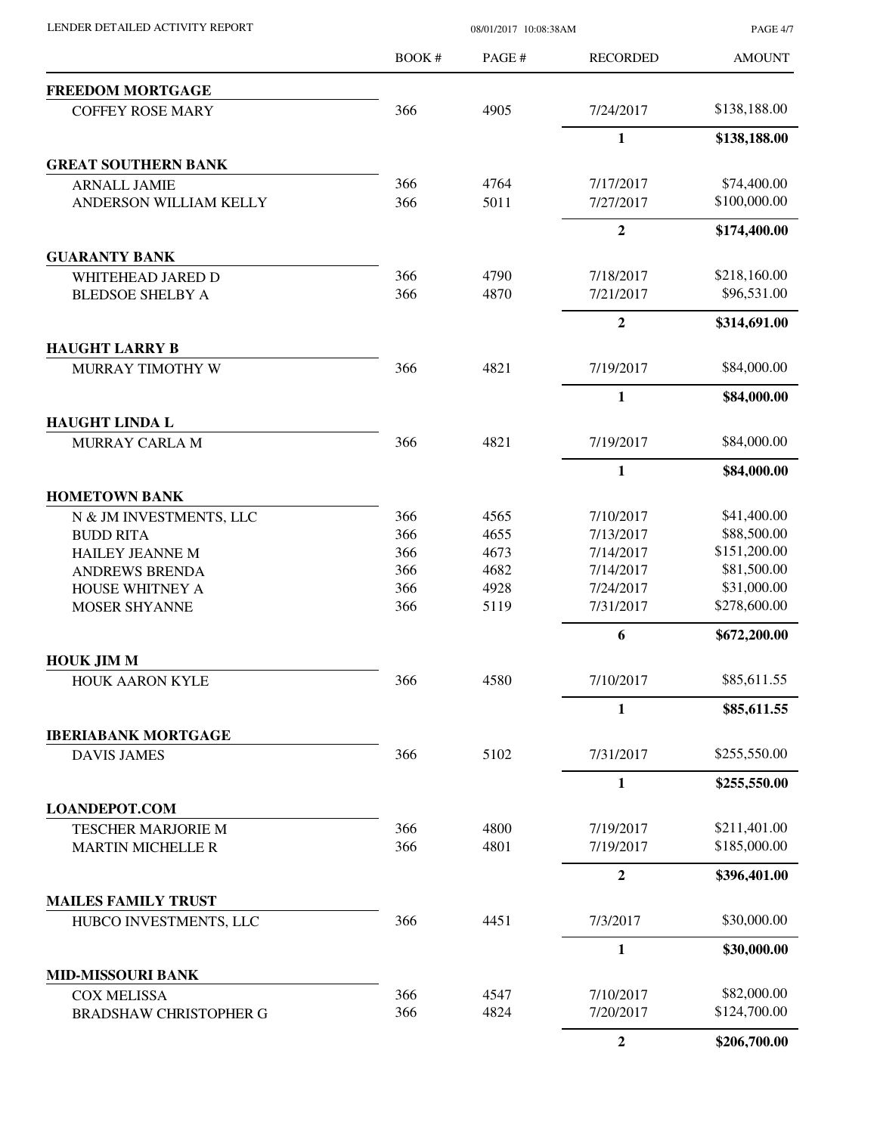| LENDER DETAILED ACTIVITY REPORT |  |
|---------------------------------|--|

08/01/2017 10:08:38AM

PAGE 4/7

|                                         | BOOK #     | PAGE #       | <b>RECORDED</b>        | <b>AMOUNT</b>               |
|-----------------------------------------|------------|--------------|------------------------|-----------------------------|
| <b>FREEDOM MORTGAGE</b>                 |            |              |                        |                             |
| <b>COFFEY ROSE MARY</b>                 | 366        | 4905         | 7/24/2017              | \$138,188.00                |
|                                         |            |              | $\mathbf{1}$           | \$138,188.00                |
| <b>GREAT SOUTHERN BANK</b>              |            |              |                        |                             |
| <b>ARNALL JAMIE</b>                     | 366        | 4764         | 7/17/2017              | \$74,400.00                 |
| ANDERSON WILLIAM KELLY                  | 366        | 5011         | 7/27/2017              | \$100,000.00                |
|                                         |            |              | $\overline{2}$         | \$174,400.00                |
| <b>GUARANTY BANK</b>                    |            |              |                        |                             |
| WHITEHEAD JARED D                       | 366        | 4790         | 7/18/2017              | \$218,160.00                |
| <b>BLEDSOE SHELBY A</b>                 | 366        | 4870         | 7/21/2017              | \$96,531.00                 |
|                                         |            |              | $\boldsymbol{2}$       | \$314,691.00                |
| <b>HAUGHT LARRY B</b>                   |            |              |                        |                             |
| MURRAY TIMOTHY W                        | 366        | 4821         | 7/19/2017              | \$84,000.00                 |
|                                         |            |              | $\mathbf{1}$           | \$84,000.00                 |
| <b>HAUGHT LINDA L</b>                   |            |              |                        |                             |
| MURRAY CARLA M                          | 366        | 4821         | 7/19/2017              | \$84,000.00                 |
|                                         |            |              | $\mathbf{1}$           | \$84,000.00                 |
| <b>HOMETOWN BANK</b>                    |            |              |                        |                             |
| N & JM INVESTMENTS, LLC                 | 366        | 4565         | 7/10/2017              | \$41,400.00                 |
| <b>BUDD RITA</b>                        | 366        | 4655         | 7/13/2017              | \$88,500.00                 |
| <b>HAILEY JEANNE M</b>                  | 366        | 4673         | 7/14/2017              | \$151,200.00                |
| <b>ANDREWS BRENDA</b>                   | 366        | 4682         | 7/14/2017              | \$81,500.00                 |
| HOUSE WHITNEY A<br><b>MOSER SHYANNE</b> | 366<br>366 | 4928<br>5119 | 7/24/2017<br>7/31/2017 | \$31,000.00<br>\$278,600.00 |
|                                         |            |              | 6                      | \$672,200.00                |
| <b>HOUK JIM M</b>                       |            |              |                        |                             |
| HOUK AARON KYLE                         | 366        | 4580         | 7/10/2017              | \$85,611.55                 |
|                                         |            |              | 1                      | \$85,611.55                 |
| <b>IBERIABANK MORTGAGE</b>              |            |              |                        |                             |
| <b>DAVIS JAMES</b>                      | 366        | 5102         | 7/31/2017              | \$255,550.00                |
|                                         |            |              | $\mathbf{1}$           | \$255,550.00                |
| <b>LOANDEPOT.COM</b>                    |            |              |                        |                             |
| <b>TESCHER MARJORIE M</b>               | 366        | 4800         | 7/19/2017              | \$211,401.00                |
| <b>MARTIN MICHELLE R</b>                | 366        | 4801         | 7/19/2017              | \$185,000.00                |
|                                         |            |              | $\overline{2}$         | \$396,401.00                |
| <b>MAILES FAMILY TRUST</b>              |            |              |                        |                             |
| HUBCO INVESTMENTS, LLC                  | 366        | 4451         | 7/3/2017               | \$30,000.00                 |
|                                         |            |              | $\mathbf{1}$           | \$30,000.00                 |
| <b>MID-MISSOURI BANK</b>                |            |              |                        |                             |
| <b>COX MELISSA</b>                      | 366        | 4547         | 7/10/2017              | \$82,000.00                 |
| <b>BRADSHAW CHRISTOPHER G</b>           | 366        | 4824         | 7/20/2017              | \$124,700.00                |
|                                         |            |              | $\overline{2}$         | \$206,700.00                |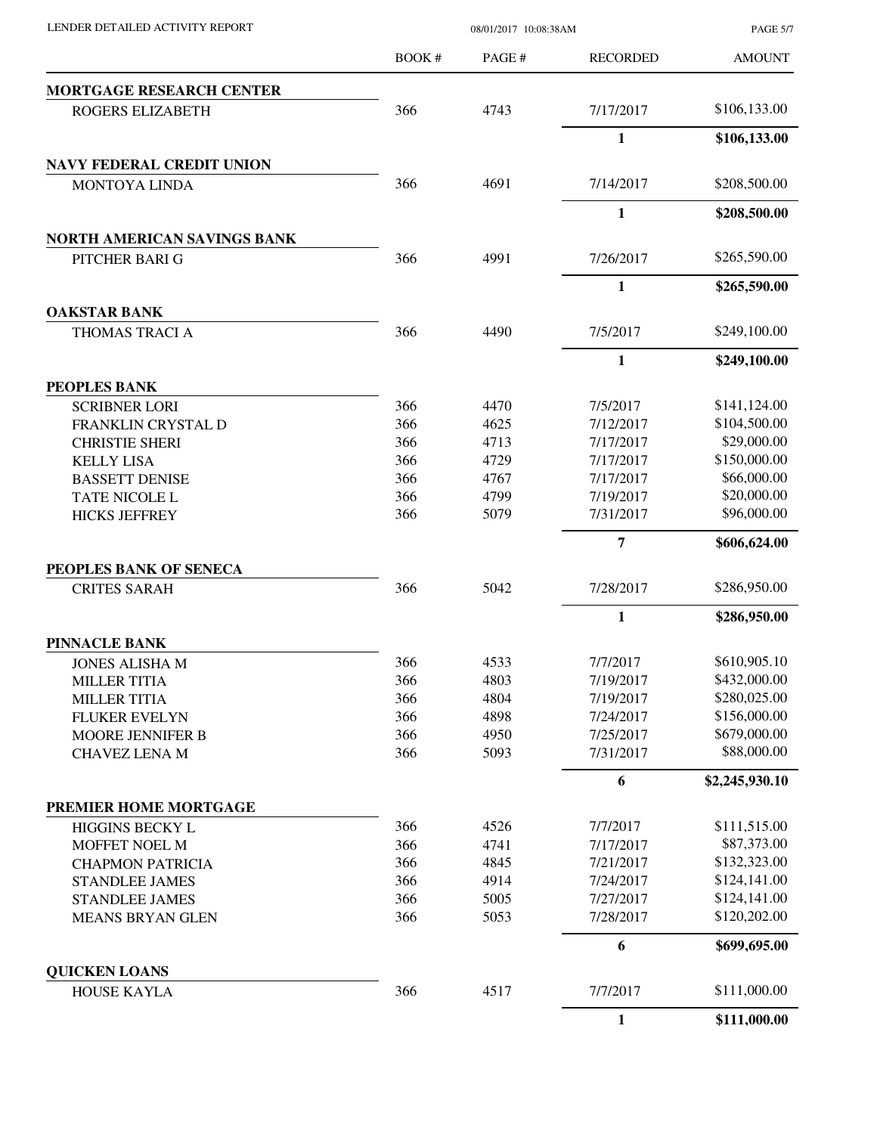| LENDER DETAILED ACTIVITY REPORT |  |
|---------------------------------|--|

08/01/2017 10:08:38AM

PAGE 5/7

|                                             | <b>BOOK#</b> | PAGE#        | <b>RECORDED</b>        | <b>AMOUNT</b>                |
|---------------------------------------------|--------------|--------------|------------------------|------------------------------|
| <b>MORTGAGE RESEARCH CENTER</b>             |              |              |                        |                              |
| ROGERS ELIZABETH                            | 366          | 4743         | 7/17/2017              | \$106,133.00                 |
|                                             |              |              | 1                      | \$106,133.00                 |
| <b>NAVY FEDERAL CREDIT UNION</b>            |              |              |                        |                              |
| <b>MONTOYA LINDA</b>                        | 366          | 4691         | 7/14/2017              | \$208,500.00                 |
|                                             |              |              | $\mathbf{1}$           | \$208,500.00                 |
| NORTH AMERICAN SAVINGS BANK                 |              |              |                        |                              |
| PITCHER BARI G                              | 366          | 4991         | 7/26/2017              | \$265,590.00                 |
|                                             |              |              | $\mathbf{1}$           | \$265,590.00                 |
| <b>OAKSTAR BANK</b><br>THOMAS TRACI A       | 366          | 4490         | 7/5/2017               | \$249,100.00                 |
|                                             |              |              | $\mathbf{1}$           | \$249,100.00                 |
| PEOPLES BANK                                |              |              |                        |                              |
| <b>SCRIBNER LORI</b>                        | 366          | 4470         | 7/5/2017               | \$141,124.00                 |
| FRANKLIN CRYSTAL D                          | 366          | 4625         | 7/12/2017              | \$104,500.00                 |
| <b>CHRISTIE SHERI</b>                       | 366          | 4713         | 7/17/2017              | \$29,000.00                  |
| <b>KELLY LISA</b>                           | 366          | 4729         | 7/17/2017              | \$150,000.00                 |
| <b>BASSETT DENISE</b>                       | 366          | 4767         | 7/17/2017              | \$66,000.00                  |
| TATE NICOLE L                               | 366          | 4799         | 7/19/2017              | \$20,000.00                  |
| <b>HICKS JEFFREY</b>                        | 366          | 5079         | 7/31/2017              | \$96,000.00                  |
|                                             |              |              |                        |                              |
| PEOPLES BANK OF SENECA                      |              |              | 7                      | \$606,624.00                 |
|                                             | 366          | 5042         | 7/28/2017              | \$286,950.00                 |
| <b>CRITES SARAH</b>                         |              |              |                        |                              |
| <b>PINNACLE BANK</b>                        |              |              | $\mathbf{1}$           | \$286,950.00                 |
|                                             |              |              |                        | \$610,905.10                 |
| <b>JONES ALISHA M</b>                       | 366          | 4533         | 7/7/2017               |                              |
| <b>MILLER TITIA</b>                         | 366<br>366   | 4803<br>4804 | 7/19/2017<br>7/19/2017 | \$432,000.00<br>\$280,025.00 |
| <b>MILLER TITIA</b><br><b>FLUKER EVELYN</b> | 366          | 4898         | 7/24/2017              | \$156,000.00                 |
|                                             | 366          | 4950         | 7/25/2017              | \$679,000.00                 |
| MOORE JENNIFER B<br><b>CHAVEZ LENA M</b>    | 366          | 5093         | 7/31/2017              | \$88,000.00                  |
|                                             |              |              | 6                      | \$2,245,930.10               |
| PREMIER HOME MORTGAGE                       |              |              |                        |                              |
| <b>HIGGINS BECKY L</b>                      | 366          | 4526         | 7/7/2017               | \$111,515.00                 |
| MOFFET NOEL M                               | 366          | 4741         | 7/17/2017              | \$87,373.00                  |
| <b>CHAPMON PATRICIA</b>                     | 366          | 4845         | 7/21/2017              | \$132,323.00                 |
| <b>STANDLEE JAMES</b>                       | 366          | 4914         | 7/24/2017              | \$124,141.00                 |
| <b>STANDLEE JAMES</b>                       | 366          | 5005         | 7/27/2017              | \$124,141.00                 |
| MEANS BRYAN GLEN                            | 366          | 5053         | 7/28/2017              | \$120,202.00                 |
|                                             |              |              |                        |                              |
|                                             |              |              | 6                      | \$699,695.00                 |
| <b>QUICKEN LOANS</b><br>HOUSE KAYLA         | 366          | 4517         | 7/7/2017               | \$111,000.00                 |
|                                             |              |              | $\mathbf{1}$           | \$111,000.00                 |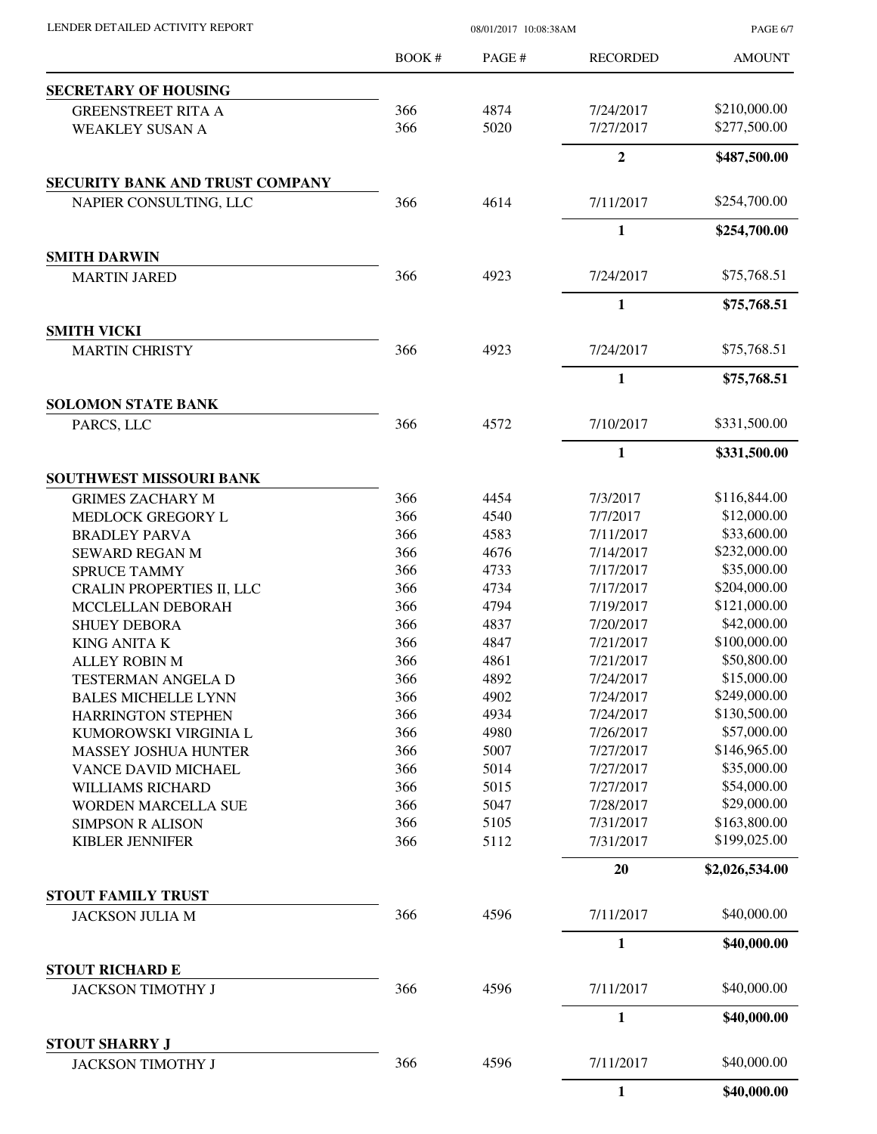| LENDER DETAILED ACTIVITY REPORT                   |        | 08/01/2017 10:08:38AM |                      | <b>PAGE 6/7</b> |
|---------------------------------------------------|--------|-----------------------|----------------------|-----------------|
|                                                   | BOOK # | PAGE#                 | <b>RECORDED</b>      | <b>AMOUNT</b>   |
| <b>SECRETARY OF HOUSING</b>                       |        |                       |                      |                 |
| <b>GREENSTREET RITA A</b>                         | 366    | 4874                  | 7/24/2017            | \$210,000.00    |
| <b>WEAKLEY SUSAN A</b>                            | 366    | 5020                  | 7/27/2017            | \$277,500.00    |
|                                                   |        |                       | $\overline{2}$       | \$487,500.00    |
| SECURITY BANK AND TRUST COMPANY                   |        |                       |                      |                 |
| NAPIER CONSULTING, LLC                            | 366    | 4614                  | 7/11/2017            | \$254,700.00    |
|                                                   |        |                       | $\mathbf{1}$         | \$254,700.00    |
| <b>SMITH DARWIN</b>                               |        |                       |                      |                 |
| <b>MARTIN JARED</b>                               | 366    | 4923                  | 7/24/2017            | \$75,768.51     |
|                                                   |        |                       | 1                    | \$75,768.51     |
| <b>SMITH VICKI</b>                                |        |                       |                      |                 |
| <b>MARTIN CHRISTY</b>                             | 366    | 4923                  | 7/24/2017            | \$75,768.51     |
|                                                   |        |                       | $\mathbf{1}$         | \$75,768.51     |
| <b>SOLOMON STATE BANK</b><br>PARCS, LLC           | 366    | 4572                  | 7/10/2017            | \$331,500.00    |
|                                                   |        |                       |                      |                 |
|                                                   |        |                       | 1                    | \$331,500.00    |
| SOUTHWEST MISSOURI BANK                           | 366    | 4454                  |                      | \$116,844.00    |
| <b>GRIMES ZACHARY M</b><br>MEDLOCK GREGORY L      | 366    | 4540                  | 7/3/2017<br>7/7/2017 | \$12,000.00     |
| <b>BRADLEY PARVA</b>                              | 366    | 4583                  | 7/11/2017            | \$33,600.00     |
| <b>SEWARD REGAN M</b>                             | 366    | 4676                  | 7/14/2017            | \$232,000.00    |
| <b>SPRUCE TAMMY</b>                               | 366    | 4733                  | 7/17/2017            | \$35,000.00     |
| <b>CRALIN PROPERTIES II, LLC</b>                  | 366    | 4734                  | 7/17/2017            | \$204,000.00    |
| MCCLELLAN DEBORAH                                 | 366    | 4794                  | 7/19/2017            | \$121,000.00    |
| <b>SHUEY DEBORA</b>                               | 366    | 4837                  | 7/20/2017            | \$42,000.00     |
| <b>KING ANITA K</b>                               | 366    | 4847                  | 7/21/2017            | \$100,000.00    |
| <b>ALLEY ROBIN M</b>                              | 366    | 4861                  | 7/21/2017            | \$50,800.00     |
| <b>TESTERMAN ANGELA D</b>                         | 366    | 4892                  | 7/24/2017            | \$15,000.00     |
| <b>BALES MICHELLE LYNN</b>                        | 366    | 4902                  | 7/24/2017            | \$249,000.00    |
| <b>HARRINGTON STEPHEN</b>                         | 366    | 4934                  | 7/24/2017            | \$130,500.00    |
| KUMOROWSKI VIRGINIA L                             | 366    | 4980                  | 7/26/2017            | \$57,000.00     |
| <b>MASSEY JOSHUA HUNTER</b>                       | 366    | 5007                  | 7/27/2017            | \$146,965.00    |
| VANCE DAVID MICHAEL                               | 366    | 5014                  | 7/27/2017            | \$35,000.00     |
| WILLIAMS RICHARD                                  | 366    | 5015                  | 7/27/2017            | \$54,000.00     |
| <b>WORDEN MARCELLA SUE</b>                        | 366    | 5047                  | 7/28/2017            | \$29,000.00     |
| <b>SIMPSON R ALISON</b>                           | 366    | 5105                  | 7/31/2017            | \$163,800.00    |
| <b>KIBLER JENNIFER</b>                            | 366    | 5112                  | 7/31/2017            | \$199,025.00    |
|                                                   |        |                       | 20                   | \$2,026,534.00  |
| STOUT FAMILY TRUST                                |        |                       |                      |                 |
| <b>JACKSON JULIA M</b>                            | 366    | 4596                  | 7/11/2017            | \$40,000.00     |
|                                                   |        |                       | 1                    | \$40,000.00     |
| <b>STOUT RICHARD E</b>                            |        |                       |                      |                 |
| <b>JACKSON TIMOTHY J</b>                          | 366    | 4596                  | 7/11/2017            | \$40,000.00     |
|                                                   |        |                       | 1                    | \$40,000.00     |
| <b>STOUT SHARRY J</b><br><b>JACKSON TIMOTHY J</b> | 366    | 4596                  | 7/11/2017            | \$40,000.00     |
|                                                   |        |                       | $\mathbf{1}$         | \$40,000.00     |
|                                                   |        |                       |                      |                 |